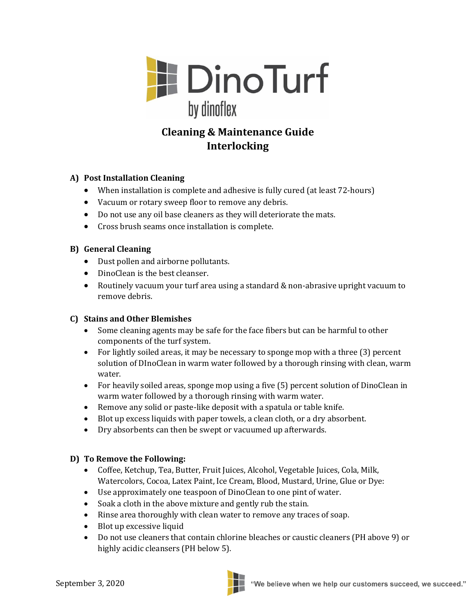

# **Cleaning & Maintenance Guide Interlocking**

## **A) Post Installation Cleaning**

- When installation is complete and adhesive is fully cured (at least 72-hours)
- Vacuum or rotary sweep floor to remove any debris.
- Do not use any oil base cleaners as they will deteriorate the mats.
- Cross brush seams once installation is complete.

#### **B) General Cleaning**

- Dust pollen and airborne pollutants.
- DinoClean is the best cleanser.
- Routinely vacuum your turf area using a standard & non-abrasive upright vacuum to remove debris.

#### **C) Stains and Other Blemishes**

- Some cleaning agents may be safe for the face fibers but can be harmful to other components of the turf system.
- For lightly soiled areas, it may be necessary to sponge mop with a three (3) percent solution of DInoClean in warm water followed by a thorough rinsing with clean, warm water.
- For heavily soiled areas, sponge mop using a five (5) percent solution of DinoClean in warm water followed by a thorough rinsing with warm water.
- Remove any solid or paste-like deposit with a spatula or table knife.
- Blot up excess liquids with paper towels, a clean cloth, or a dry absorbent.
- Dry absorbents can then be swept or vacuumed up afterwards.

#### **D) To Remove the Following:**

- Coffee, Ketchup, Tea, Butter, Fruit Juices, Alcohol, Vegetable Juices, Cola, Milk, Watercolors, Cocoa, Latex Paint, Ice Cream, Blood, Mustard, Urine, Glue or Dye:
- Use approximately one teaspoon of DinoClean to one pint of water.
- Soak a cloth in the above mixture and gently rub the stain.
- Rinse area thoroughly with clean water to remove any traces of soap.
- Blot up excessive liquid
- Do not use cleaners that contain chlorine bleaches or caustic cleaners (PH above 9) or highly acidic cleansers (PH below 5).